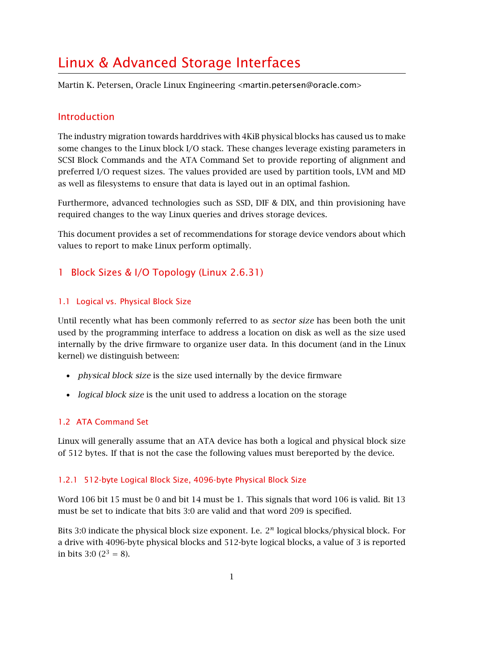# Linux & Advanced Storage Interfaces

Martin K. Petersen, Oracle Linux Engineering <martin.petersen@oracle.com>

# Introduction

The industry migration towards harddrives with 4KiB physical blocks has caused us to make some changes to the Linux block I/O stack. These changes leverage existing parameters in SCSI Block Commands and the ATA Command Set to provide reporting of alignment and preferred I/O request sizes. The values provided are used by partition tools, LVM and MD as well as filesystems to ensure that data is layed out in an optimal fashion.

Furthermore, advanced technologies such as SSD, DIF & DIX, and thin provisioning have required changes to the way Linux queries and drives storage devices.

This document provides a set of recommendations for storage device vendors about which values to report to make Linux perform optimally.

# 1 Block Sizes & I/O Topology (Linux 2.6.31)

# 1.1 Logical vs. Physical Block Size

Until recently what has been commonly referred to as sector size has been both the unit used by the programming interface to address a location on disk as well as the size used internally by the drive firmware to organize user data. In this document (and in the Linux kernel) we distinguish between:

- *physical block size* is the size used internally by the device firmware
- logical block size is the unit used to address a location on the storage

# 1.2 ATA Command Set

Linux will generally assume that an ATA device has both a logical and physical block size of 512 bytes. If that is not the case the following values must bereported by the device.

# 1.2.1 512-byte Logical Block Size, 4096-byte Physical Block Size

Word 106 bit 15 must be 0 and bit 14 must be 1. This signals that word 106 is valid. Bit 13 must be set to indicate that bits 3:0 are valid and that word 209 is specified.

Bits 3:0 indicate the physical block size exponent. I.e. 2*<sup>n</sup>* logical blocks/physical block. For a drive with 4096-byte physical blocks and 512-byte logical blocks, a value of 3 is reported in bits 3:0 ( $2^3 = 8$ ).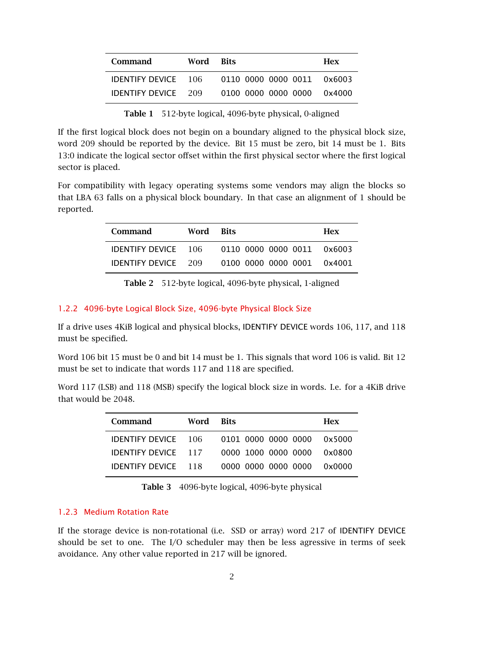| <b>Command</b>             | Word Bits |                            | <b>Hex</b> |
|----------------------------|-----------|----------------------------|------------|
| <b>IDENTIFY DEVICE</b> 106 |           | 0110 0000 0000 0011 0x6003 |            |
| <b>IDENTIFY DEVICE</b> 209 |           | 0100 0000 0000 0000 0x4000 |            |

Table 1 512-byte logical, 4096-byte physical, 0-aligned

If the first logical block does not begin on a boundary aligned to the physical block size, word 209 should be reported by the device. Bit 15 must be zero, bit 14 must be 1. Bits 13:0 indicate the logical sector offset within the first physical sector where the first logical sector is placed.

For compatibility with legacy operating systems some vendors may align the blocks so that LBA 63 falls on a physical block boundary. In that case an alignment of 1 should be reported.

| <b>Command</b>             | Word Bits |                            | <b>Hex</b> |
|----------------------------|-----------|----------------------------|------------|
| <b>IDENTIFY DEVICE</b> 106 |           | 0110 0000 0000 0011 0x6003 |            |
| <b>IDENTIFY DEVICE</b> 209 |           | 0100 0000 0000 0001 0x4001 |            |

Table 2 512-byte logical, 4096-byte physical, 1-aligned

#### 1.2.2 4096-byte Logical Block Size, 4096-byte Physical Block Size

If a drive uses 4KiB logical and physical blocks, IDENTIFY DEVICE words 106, 117, and 118 must be specified.

Word 106 bit 15 must be 0 and bit 14 must be 1. This signals that word 106 is valid. Bit 12 must be set to indicate that words 117 and 118 are specified.

Word 117 (LSB) and 118 (MSB) specify the logical block size in words. I.e. for a 4KiB drive that would be 2048.

| Command                    | Word Bits |                            | <b>Hex</b> |
|----------------------------|-----------|----------------------------|------------|
| <b>IDENTIFY DEVICE</b> 106 |           | 0101 0000 0000 0000 0x5000 |            |
| IDENTIFY DEVICE 117        |           | 0000 1000 0000 0000 0x0800 |            |
| <b>IDENTIFY DEVICE</b> 118 |           | 0000 0000 0000 0000 0x0000 |            |

Table 3 4096-byte logical, 4096-byte physical

#### 1.2.3 Medium Rotation Rate

If the storage device is non-rotational (i.e. SSD or array) word 217 of IDENTIFY DEVICE should be set to one. The I/O scheduler may then be less agressive in terms of seek avoidance. Any other value reported in 217 will be ignored.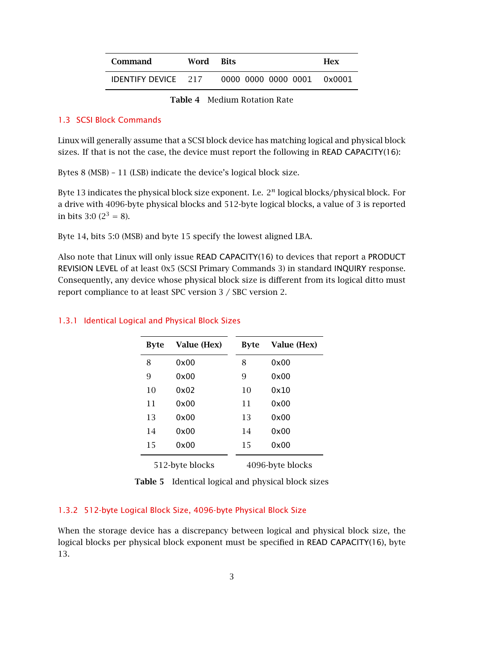| Command                    | Word Bits |                            | <b>Hex</b> |
|----------------------------|-----------|----------------------------|------------|
| <b>IDENTIFY DEVICE</b> 217 |           | 0000 0000 0000 0001 0x0001 |            |

Table 4 Medium Rotation Rate

### 1.3 SCSI Block Commands

Linux will generally assume that a SCSI block device has matching logical and physical block sizes. If that is not the case, the device must report the following in READ CAPACITY(16):

Bytes 8 (MSB) – 11 (LSB) indicate the device's logical block size.

Byte 13 indicates the physical block size exponent. I.e. 2*<sup>n</sup>* logical blocks/physical block. For a drive with 4096-byte physical blocks and 512-byte logical blocks, a value of 3 is reported in bits 3:0 ( $2^3 = 8$ ).

Byte 14, bits 5:0 (MSB) and byte 15 specify the lowest aligned LBA.

Also note that Linux will only issue READ CAPACITY(16) to devices that report a PRODUCT REVISION LEVEL of at least 0x5 (SCSI Primary Commands 3) in standard INQUIRY response. Consequently, any device whose physical block size is different from its logical ditto must report compliance to at least SPC version 3 / SBC version 2.

| <b>Byte</b>     | Value (Hex) | <b>Byte</b> | Value (Hex)      |
|-----------------|-------------|-------------|------------------|
| 8               | 0x00        | 8           | 0x00             |
| 9               | 0x00        | 9           | 0x00             |
| 10              | 0x02        | 10          | 0x10             |
| 11              | 0x00        | 11          | 0x00             |
| 13              | 0x00        | 13          | 0x00             |
| 14              | 0x00        | 14          | 0x00             |
| 15              | 0x00        | 15          | 0x00             |
| 512-byte blocks |             |             | 4096-byte blocks |

### 1.3.1 Identical Logical and Physical Block Sizes

Table 5 Identical logical and physical block sizes

# 1.3.2 512-byte Logical Block Size, 4096-byte Physical Block Size

When the storage device has a discrepancy between logical and physical block size, the logical blocks per physical block exponent must be specified in READ CAPACITY(16), byte 13.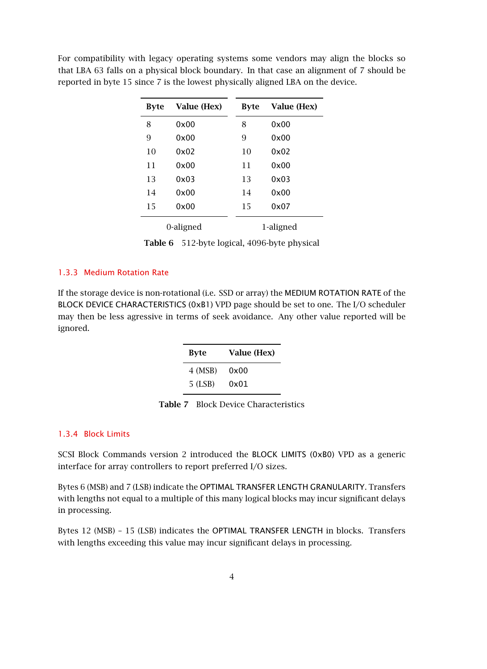| <b>Byte</b> | Value (Hex) | <b>Byte</b> | Value (Hex) |
|-------------|-------------|-------------|-------------|
| 8           | 0x00        | 8           | 0x00        |
| 9           | 0x00        | 9           | 0x00        |
| 10          | 0x02        | 10          | 0x02        |
| 11          | 0x00        | 11          | 0x00        |
| 13          | 0x03        | 13          | 0x03        |
| 14          | 0x00        | 14          | 0x00        |
| 15          | 0x00        | 15          | 0x07        |
| 0-aligned   |             |             | 1-aligned   |

For compatibility with legacy operating systems some vendors may align the blocks so that LBA 63 falls on a physical block boundary. In that case an alignment of 7 should be reported in byte 15 since 7 is the lowest physically aligned LBA on the device.

Table 6 512-byte logical, 4096-byte physical

#### 1.3.3 Medium Rotation Rate

If the storage device is non-rotational (i.e. SSD or array) the MEDIUM ROTATION RATE of the BLOCK DEVICE CHARACTERISTICS (0xB1) VPD page should be set to one. The I/O scheduler may then be less agressive in terms of seek avoidance. Any other value reported will be ignored.

| <b>Byte</b> | Value (Hex) |
|-------------|-------------|
| 4 (MSB)     | 0x00        |
| $5$ (LSB)   | 0x01        |

Table 7 Block Device Characteristics

#### 1.3.4 Block Limits

SCSI Block Commands version 2 introduced the BLOCK LIMITS (0xB0) VPD as a generic interface for array controllers to report preferred I/O sizes.

Bytes 6 (MSB) and 7 (LSB) indicate the OPTIMAL TRANSFER LENGTH GRANULARITY. Transfers with lengths not equal to a multiple of this many logical blocks may incur significant delays in processing.

Bytes 12 (MSB) – 15 (LSB) indicates the OPTIMAL TRANSFER LENGTH in blocks. Transfers with lengths exceeding this value may incur significant delays in processing.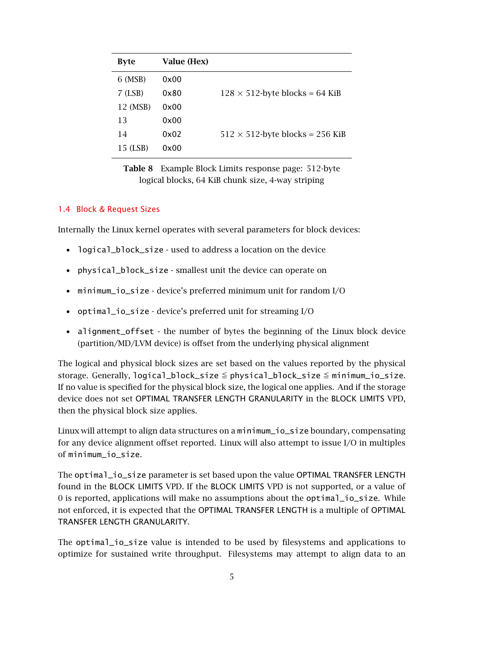| <b>Byte</b> | Value (Hex) |                                         |
|-------------|-------------|-----------------------------------------|
| 6 (MSB)     | 0x00        |                                         |
| $7$ (LSB)   | 0x80        | $128 \times 512$ -byte blocks = 64 KiB  |
| 12 (MSB)    | 0x00        |                                         |
| 13          | 0x00        |                                         |
| 14          | 0x02        | $512 \times 512$ -byte blocks = 256 KiB |
| 15 (LSB)    | 0x00        |                                         |

Table 8 Example Block Limits response page: 512-byte logical blocks, 64 KiB chunk size, 4-way striping

#### 1.4 Block & Request Sizes

Internally the Linux kernel operates with several parameters for block devices:

- logical block size used to address a location on the device
- physical\_block\_size smallest unit the device can operate on
- minimum\_io\_size device's preferred minimum unit for random I/O
- optimal\_io\_size device's preferred unit for streaming I/O
- alignment\_offset the number of bytes the beginning of the Linux block device (partition/MD/LVM device) is offset from the underlying physical alignment

The logical and physical block sizes are set based on the values reported by the physical storage. Generally,  $logical\_block\_size \leq physical\_block\_size \leq minimum\_io\_size$ . If no value is specified for the physical block size, the logical one applies. And if the storage device does not set OPTIMAL TRANSFER LENGTH GRANULARITY in the BLOCK LIMITS VPD, then the physical block size applies.

Linux will attempt to align data structures on a minimum\_io\_size boundary, compensating for any device alignment offset reported. Linux will also attempt to issue I/O in multiples of minimum\_io\_size.

The optimal\_io\_size parameter is set based upon the value OPTIMAL TRANSFER LENGTH found in the BLOCK LIMITS VPD. If the BLOCK LIMITS VPD is not supported, or a value of 0 is reported, applications will make no assumptions about the optimal\_io\_size. While not enforced, it is expected that the OPTIMAL TRANSFER LENGTH is a multiple of OPTIMAL TRANSFER LENGTH GRANULARITY.

The optimal\_io\_size value is intended to be used by filesystems and applications to optimize for sustained write throughput. Filesystems may attempt to align data to an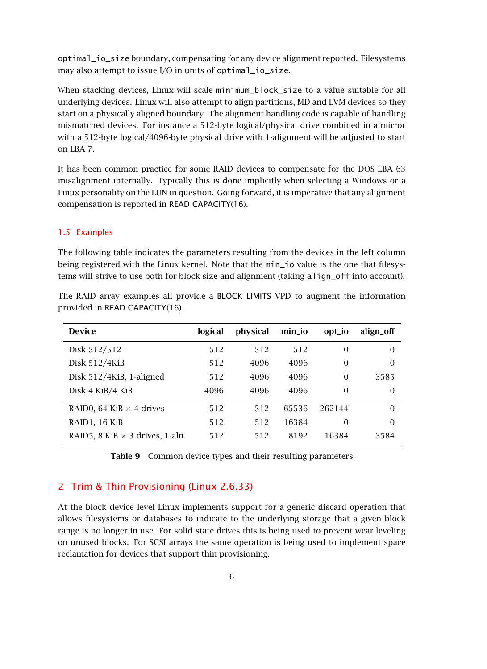optimal\_io\_size boundary, compensating for any device alignment reported. Filesystems may also attempt to issue I/O in units of optimal\_io\_size.

When stacking devices, Linux will scale minimum\_block\_size to a value suitable for all underlying devices. Linux will also attempt to align partitions, MD and LVM devices so they start on a physically aligned boundary. The alignment handling code is capable of handling mismatched devices. For instance a 512-byte logical/physical drive combined in a mirror with a 512-byte logical/4096-byte physical drive with 1-alignment will be adjusted to start on LBA 7.

It has been common practice for some RAID devices to compensate for the DOS LBA 63 misalignment internally. Typically this is done implicitly when selecting a Windows or a Linux personality on the LUN in question. Going forward, it is imperative that any alignment compensation is reported in READ CAPACITY(16).

#### 1.5 Examples

The following table indicates the parameters resulting from the devices in the left column being registered with the Linux kernel. Note that the min\_io value is the one that filesystems will strive to use both for block size and alignment (taking align\_off into account).

| <b>Device</b>                          | logical | physical | min_io | opt_io   | align_off |
|----------------------------------------|---------|----------|--------|----------|-----------|
| Disk 512/512                           | 512     | 512      | 512    | $\Omega$ | $\Omega$  |
| Disk 512/4KiB                          | 512     | 4096     | 4096   | $\theta$ | $\Omega$  |
| Disk 512/4KiB, 1-aligned               | 512     | 4096     | 4096   | $\Omega$ | 3585      |
| Disk 4 KiB/4 KiB                       | 4096    | 4096     | 4096   | $\Omega$ | $\Omega$  |
| RAIDO, 64 KiB $\times$ 4 drives        | 512     | 512      | 65536  | 262144   | $\Omega$  |
| RAID1, 16 KiB                          | 512     | 512      | 16384  | $\Omega$ | $\Omega$  |
| RAID5, 8 KiB $\times$ 3 drives, 1-aln. | 512     | 512      | 8192   | 16384    | 3584      |

The RAID array examples all provide a BLOCK LIMITS VPD to augment the information provided in READ CAPACITY(16).

Table 9 Common device types and their resulting parameters

#### 2 Trim & Thin Provisioning (Linux 2.6.33)

At the block device level Linux implements support for a generic discard operation that allows filesystems or databases to indicate to the underlying storage that a given block range is no longer in use. For solid state drives this is being used to prevent wear leveling on unused blocks. For SCSI arrays the same operation is being used to implement space reclamation for devices that support thin provisioning.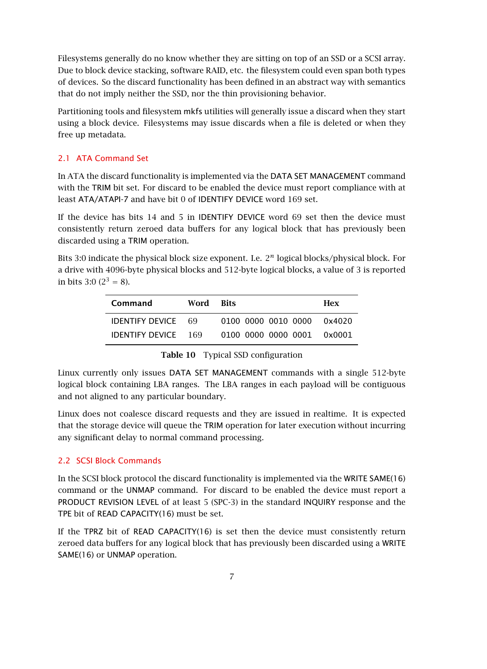Filesystems generally do no know whether they are sitting on top of an SSD or a SCSI array. Due to block device stacking, software RAID, etc. the filesystem could even span both types of devices. So the discard functionality has been defined in an abstract way with semantics that do not imply neither the SSD, nor the thin provisioning behavior.

Partitioning tools and filesystem mkfs utilities will generally issue a discard when they start using a block device. Filesystems may issue discards when a file is deleted or when they free up metadata.

# 2.1 ATA Command Set

In ATA the discard functionality is implemented via the DATA SET MANAGEMENT command with the TRIM bit set. For discard to be enabled the device must report compliance with at least ATA/ATAPI-7 and have bit 0 of IDENTIFY DEVICE word 169 set.

If the device has bits 14 and 5 in IDENTIFY DEVICE word 69 set then the device must consistently return zeroed data buffers for any logical block that has previously been discarded using a TRIM operation.

Bits 3:0 indicate the physical block size exponent. I.e. 2*<sup>n</sup>* logical blocks/physical block. For a drive with 4096-byte physical blocks and 512-byte logical blocks, a value of 3 is reported in bits 3:0 ( $2^3 = 8$ ).

| Command                    | Word | <b>Rits</b>                | <b>Hex</b> |
|----------------------------|------|----------------------------|------------|
| <b>IDENTIFY DEVICE 69</b>  |      | 0100 0000 0010 0000 0x4020 |            |
| <b>IDENTIFY DEVICE</b> 169 |      | 0100 0000 0000 0001 0x0001 |            |

|  |  | <b>Table 10</b> Typical SSD configuration |
|--|--|-------------------------------------------|
|--|--|-------------------------------------------|

Linux currently only issues DATA SET MANAGEMENT commands with a single 512-byte logical block containing LBA ranges. The LBA ranges in each payload will be contiguous and not aligned to any particular boundary.

Linux does not coalesce discard requests and they are issued in realtime. It is expected that the storage device will queue the TRIM operation for later execution without incurring any significant delay to normal command processing.

# 2.2 SCSI Block Commands

In the SCSI block protocol the discard functionality is implemented via the WRITE SAME(16) command or the UNMAP command. For discard to be enabled the device must report a PRODUCT REVISION LEVEL of at least 5 (SPC-3) in the standard INQUIRY response and the TPE bit of READ CAPACITY(16) must be set.

If the TPRZ bit of READ CAPACITY(16) is set then the device must consistently return zeroed data buffers for any logical block that has previously been discarded using a WRITE SAME(16) or UNMAP operation.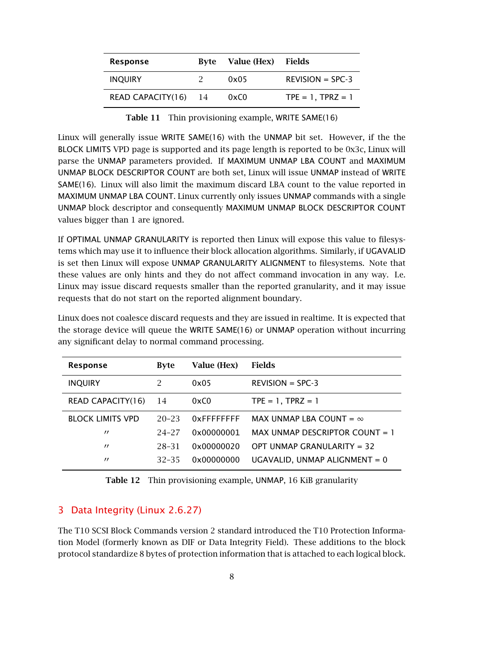| Response          | Byte | Value (Hex) | Fields              |
|-------------------|------|-------------|---------------------|
| <b>INOUIRY</b>    |      | 0x05        | $REVISION = SPC-3$  |
| READ CAPACITY(16) | - 14 | 0xC0        | $TPE = 1, TPRZ = 1$ |

Table 11 Thin provisioning example, WRITE SAME(16)

Linux will generally issue WRITE SAME(16) with the UNMAP bit set. However, if the the BLOCK LIMITS VPD page is supported and its page length is reported to be 0x3c, Linux will parse the UNMAP parameters provided. If MAXIMUM UNMAP LBA COUNT and MAXIMUM UNMAP BLOCK DESCRIPTOR COUNT are both set, Linux will issue UNMAP instead of WRITE SAME(16). Linux will also limit the maximum discard LBA count to the value reported in MAXIMUM UNMAP LBA COUNT. Linux currently only issues UNMAP commands with a single UNMAP block descriptor and consequently MAXIMUM UNMAP BLOCK DESCRIPTOR COUNT values bigger than 1 are ignored.

If OPTIMAL UNMAP GRANULARITY is reported then Linux will expose this value to filesystems which may use it to influence their block allocation algorithms. Similarly, if UGAVALID is set then Linux will expose UNMAP GRANULARITY ALIGNMENT to filesystems. Note that these values are only hints and they do not affect command invocation in any way. I.e. Linux may issue discard requests smaller than the reported granularity, and it may issue requests that do not start on the reported alignment boundary.

| <b>Response</b>         | <b>Byte</b>   | Value (Hex)    | Fields                           |
|-------------------------|---------------|----------------|----------------------------------|
| <b>INQUIRY</b>          | $\mathcal{P}$ | 0x05           | $REVISION = SPC-3$               |
| READ CAPACITY(16)       | 14            | 0xC0           | $TPE = 1$ , $TPRZ = 1$           |
| <b>BLOCK LIMITS VPD</b> | $20 - 23$     | $0x$ FFFFFFFFF | MAX UNMAP LBA COUNT = $\infty$   |
| $\prime$                | 24-27         | 0x00000001     | MAX UNMAP DESCRIPTOR COUNT $= 1$ |
| $^{\prime\prime}$       | 28-31         | 0x00000020     | OPT UNMAP GRANULARITY = 32       |
| $\prime$                | $32 - 35$     | 0x00000000     | UGAVALID, UNMAP ALIGNMENT = 0    |

Linux does not coalesce discard requests and they are issued in realtime. It is expected that the storage device will queue the WRITE SAME(16) or UNMAP operation without incurring any significant delay to normal command processing.

Table 12 Thin provisioning example, UNMAP, 16 KiB granularity

# 3 Data Integrity (Linux 2.6.27)

The T10 SCSI Block Commands version 2 standard introduced the T10 Protection Information Model (formerly known as DIF or Data Integrity Field). These additions to the block protocol standardize 8 bytes of protection information that is attached to each logical block.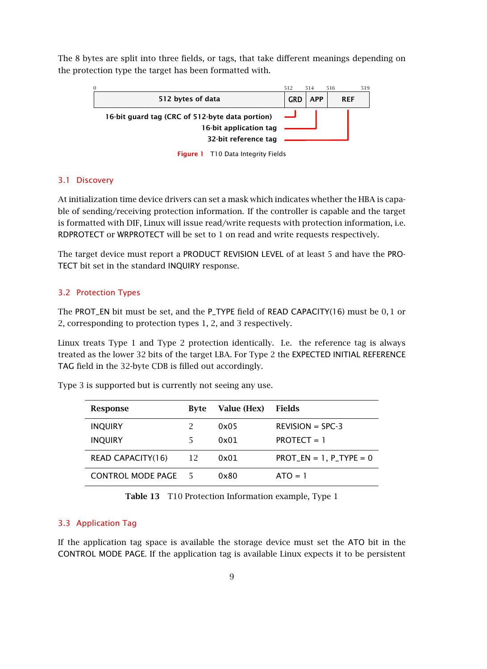The 8 bytes are split into three fields, or tags, that take different meanings depending on the protection type the target has been formatted with.

| $\Omega$                                                                                          | 512 | 514        | 516        | 519 |
|---------------------------------------------------------------------------------------------------|-----|------------|------------|-----|
| 512 bytes of data                                                                                 | GRD | <b>APP</b> | <b>RFF</b> |     |
| 16-bit guard tag (CRC of 512-byte data portion)<br>16-bit application tag<br>32-bit reference tag |     |            |            |     |

Figure 1 T10 Data Integrity Fields

#### 3.1 Discovery

At initialization time device drivers can set a mask which indicates whether the HBA is capable of sending/receiving protection information. If the controller is capable and the target is formatted with DIF, Linux will issue read/write requests with protection information, i.e. RDPROTECT or WRPROTECT will be set to 1 on read and write requests respectively.

The target device must report a PRODUCT REVISION LEVEL of at least 5 and have the PRO-TECT bit set in the standard INQUIRY response.

#### 3.2 Protection Types

The PROT\_EN bit must be set, and the P\_TYPE field of READ CAPACITY(16) must be 0*,* 1 or 2, corresponding to protection types 1, 2, and 3 respectively.

Linux treats Type 1 and Type 2 protection identically. I.e. the reference tag is always treated as the lower 32 bits of the target LBA. For Type 2 the EXPECTED INITIAL REFERENCE TAG field in the 32-byte CDB is filled out accordingly.

| Response                 | Byte | Value (Hex) | Fields                                 |
|--------------------------|------|-------------|----------------------------------------|
| <b>INQUIRY</b>           |      | 0x05        | $REVISION = SPC-3$                     |
| <b>INQUIRY</b>           |      | 0x01        | $PROTECT = 1$                          |
| <b>READ CAPACITY(16)</b> | - 12 | 0x01        | $PROT$ <sub>_</sub> EN = 1, P_TYPE = 0 |
| <b>CONTROL MODE PAGE</b> | - 5  | 0x80        | $ATO = 1$                              |

Type 3 is supported but is currently not seeing any use.

Table 13 T10 Protection Information example, Type 1

#### 3.3 Application Tag

If the application tag space is available the storage device must set the ATO bit in the CONTROL MODE PAGE. If the application tag is available Linux expects it to be persistent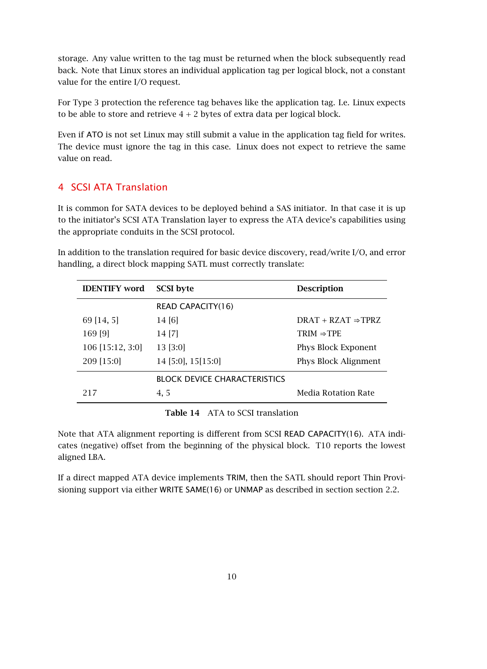storage. Any value written to the tag must be returned when the block subsequently read back. Note that Linux stores an individual application tag per logical block, not a constant value for the entire I/O request.

For Type 3 protection the reference tag behaves like the application tag. I.e. Linux expects to be able to store and retrieve  $4 + 2$  bytes of extra data per logical block.

Even if ATO is not set Linux may still submit a value in the application tag field for writes. The device must ignore the tag in this case. Linux does not expect to retrieve the same value on read.

# 4 SCSI ATA Translation

It is common for SATA devices to be deployed behind a SAS initiator. In that case it is up to the initiator's SCSI ATA Translation layer to express the ATA device's capabilities using the appropriate conduits in the SCSI protocol.

In addition to the translation required for basic device discovery, read/write I/O, and error handling, a direct block mapping SATL must correctly translate:

| <b>IDENTIFY</b> word | <b>SCSI</b> byte                    | <b>Description</b>             |
|----------------------|-------------------------------------|--------------------------------|
|                      | <b>READ CAPACITY(16)</b>            |                                |
| 69 [14, 5]           | 14 [6]                              | $DRAT + RZAT \Rightarrow TPRZ$ |
| 169 [9]              | 14 [7]                              | $TRIM \Rightarrow TPE$         |
| 106 [15:12, 3:0]     | 13 [3:0]                            | Phys Block Exponent            |
| 209 [15:0]           | $14$ [5:0], 15[15:0]                | <b>Phys Block Alignment</b>    |
|                      | <b>BLOCK DEVICE CHARACTERISTICS</b> |                                |
| 217                  | 4, 5                                | Media Rotation Rate            |

Table 14 ATA to SCSI translation

Note that ATA alignment reporting is different from SCSI READ CAPACITY(16). ATA indicates (negative) offset from the beginning of the physical block. T10 reports the lowest aligned LBA.

If a direct mapped ATA device implements TRIM, then the SATL should report Thin Provisioning support via either WRITE SAME(16) or UNMAP as described in section section 2.2.